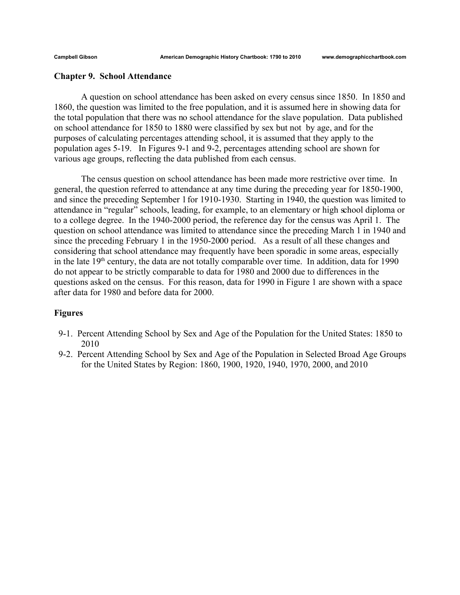## **Chapter 9. School Attendance**

A question on school attendance has been asked on every census since 1850. In 1850 and 1860, the question was limited to the free population, and it is assumed here in showing data for the total population that there was no school attendance for the slave population. Data published on school attendance for 1850 to 1880 were classified by sex but not by age, and for the purposes of calculating percentages attending school, it is assumed that they apply to the population ages 5-19. In Figures 9-1 and 9-2, percentages attending school are shown for various age groups, reflecting the data published from each census.

The census question on school attendance has been made more restrictive over time. In general, the question referred to attendance at any time during the preceding year for 1850-1900, and since the preceding September 1for 1910-1930. Starting in 1940, the question was limited to attendance in "regular" schools, leading, for example, to an elementary or high school diploma or to a college degree. In the 1940-2000 period, the reference day for the census was April 1. The question on school attendance was limited to attendance since the preceding March 1 in 1940 and since the preceding February 1 in the 1950-2000 period. As a result of all these changes and considering that school attendance may frequently have been sporadic in some areas, especially in the late  $19<sup>th</sup>$  century, the data are not totally comparable over time. In addition, data for 1990 do not appear to be strictly comparable to data for 1980 and 2000 due to differences in the questions asked on the census. For this reason, data for 1990 in Figure 1 are shown with a space after data for 1980 and before data for 2000.

## **Figures**

- 9-1. Percent Attending School by Sex and Age of the Population for the United States: 1850 to 2010
- 9-2. Percent Attending School by Sex and Age of the Population in Selected Broad Age Groups for the United States by Region: 1860, 1900, 1920, 1940, 1970, 2000, and 2010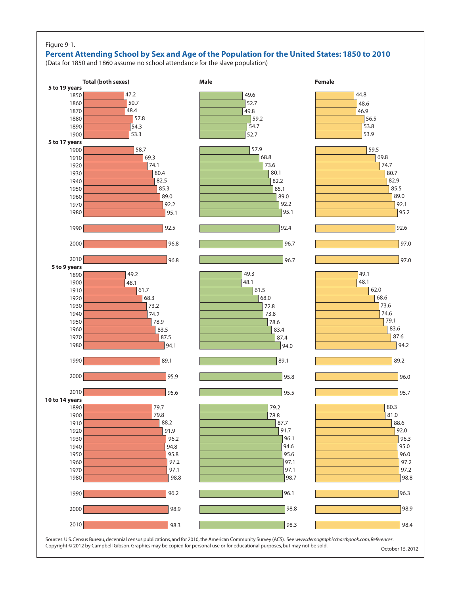## Figure 9-1.

## **Percent Attending School by Sex and Age of the Population for the United States: 1850 to 2010**

(Data for 1850 and 1860 assume no school attendance for the slave population)



Sources: U.S. Census Bureau, decennial census publications, and for 2010, the American Community Survey (ACS). See *www.demographicchartbpook.com, References*. Copyright © 2012 by Campbell Gibson. Graphics may be copied for personal use or for educational purposes, but may not be sold. October 15, 2012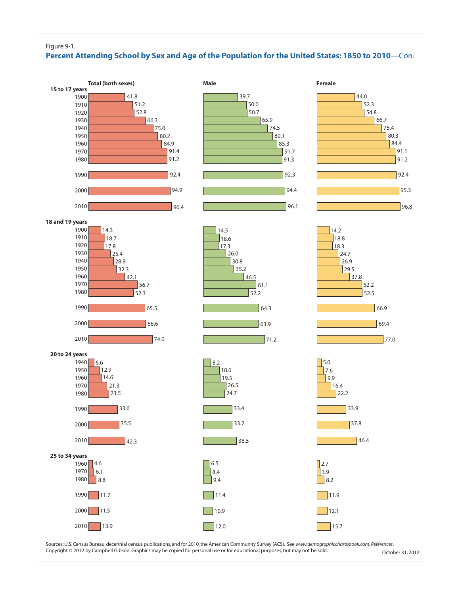

Copyright © 2012 by Campbell Gibson. Graphics may be copied for personal use or for educational purposes, but may not be sold.  $October 31, 2012$